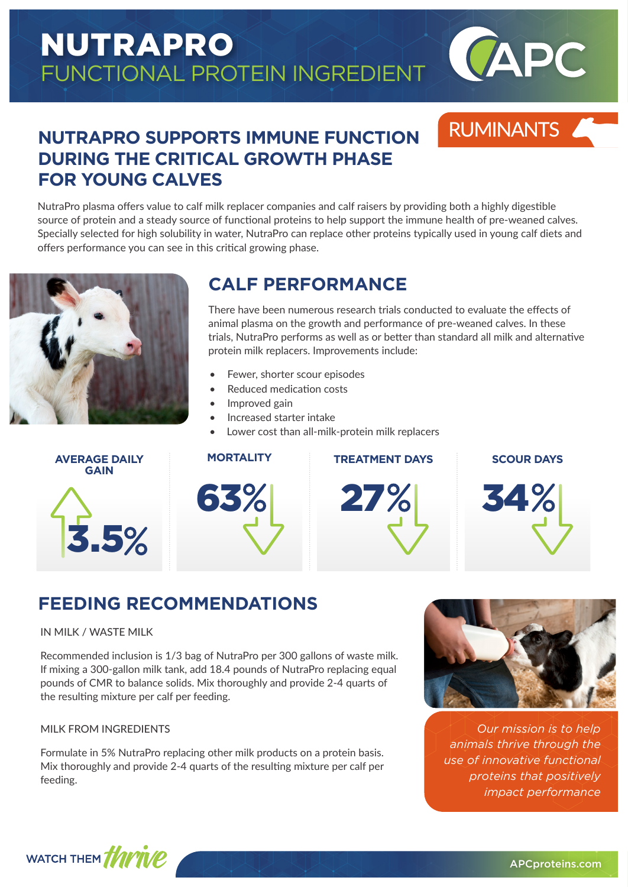# NUTRAPRO FUNCTIONAL PROTEIN INGREDIENT



RUMINANTS

### **NUTRAPRO SUPPORTS IMMUNE FUNCTION DURING THE CRITICAL GROWTH PHASE FOR YOUNG CALVES**

NutraPro plasma offers value to calf milk replacer companies and calf raisers by providing both a highly digestible source of protein and a steady source of functional proteins to help support the immune health of pre-weaned calves. Specially selected for high solubility in water, NutraPro can replace other proteins typically used in young calf diets and offers performance you can see in this critical growing phase.



### **CALF PERFORMANCE**

There have been numerous research trials conducted to evaluate the effects of animal plasma on the growth and performance of pre-weaned calves. In these trials, NutraPro performs as well as or better than standard all milk and alternative protein milk replacers. Improvements include:

- Fewer, shorter scour episodes
- Reduced medication costs
- Improved gain
- Increased starter intake
- Lower cost than all-milk-protein milk replacers



| <b>MORTALITY</b> | <b>TREATMENT DAYS</b> | <b>SCOUR DAYS</b> |
|------------------|-----------------------|-------------------|
| 63%              | 27%                   | 34%               |
|                  |                       |                   |



34

# **FEEDING RECOMMENDATIONS**

#### IN MILK / WASTE MILK

Recommended inclusion is 1/3 bag of NutraPro per 300 gallons of waste milk. If mixing a 300-gallon milk tank, add 18.4 pounds of NutraPro replacing equal pounds of CMR to balance solids. Mix thoroughly and provide 2-4 quarts of the resulting mixture per calf per feeding.

#### MILK FROM INGREDIENTS

Formulate in 5% NutraPro replacing other milk products on a protein basis. Mix thoroughly and provide 2-4 quarts of the resulting mixture per calf per feeding.



*Our mission is to help animals thrive through the use of innovative functional proteins that positively impact performance*